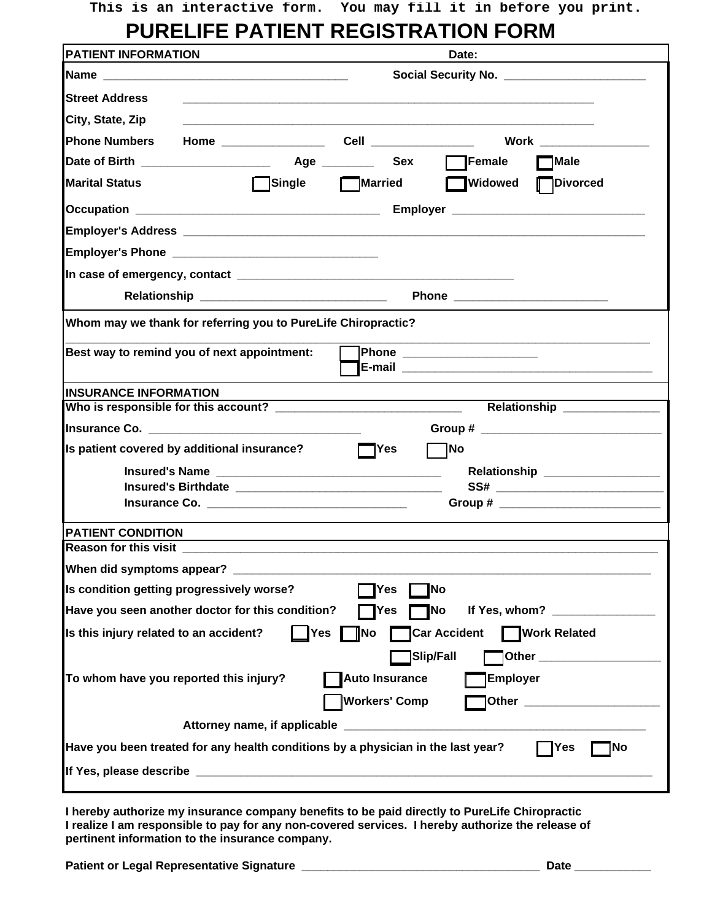## **PURELIFE PATIENT REGISTRATION FORM**

| <b>PATIENT INFORMATION</b>                                                       |                                                |                |                                                             | Date:                                                                                                                |                                 |
|----------------------------------------------------------------------------------|------------------------------------------------|----------------|-------------------------------------------------------------|----------------------------------------------------------------------------------------------------------------------|---------------------------------|
|                                                                                  |                                                |                |                                                             |                                                                                                                      |                                 |
| <b>Street Address</b>                                                            |                                                |                |                                                             |                                                                                                                      |                                 |
| City, State, Zip                                                                 |                                                |                |                                                             |                                                                                                                      |                                 |
|                                                                                  |                                                |                |                                                             |                                                                                                                      |                                 |
|                                                                                  |                                                |                |                                                             | $\Box$ Female                                                                                                        | $\neg$ Male                     |
| <b>Marital Status</b>                                                            | $\Box$ Single                                  | <b>Married</b> |                                                             | Widowed Divorced                                                                                                     |                                 |
|                                                                                  |                                                |                |                                                             |                                                                                                                      |                                 |
|                                                                                  |                                                |                |                                                             |                                                                                                                      |                                 |
|                                                                                  |                                                |                |                                                             |                                                                                                                      |                                 |
|                                                                                  |                                                |                |                                                             |                                                                                                                      |                                 |
|                                                                                  | Relationship _________________________________ |                |                                                             |                                                                                                                      |                                 |
| Whom may we thank for referring you to PureLife Chiropractic?                    |                                                |                |                                                             |                                                                                                                      |                                 |
| Best way to remind you of next appointment:                                      |                                                |                |                                                             | <b>Phone __________________</b>                                                                                      |                                 |
| <b>INSURANCE INFORMATION</b>                                                     |                                                |                |                                                             |                                                                                                                      |                                 |
|                                                                                  |                                                |                |                                                             |                                                                                                                      |                                 |
|                                                                                  |                                                |                |                                                             |                                                                                                                      |                                 |
| Is patient covered by additional insurance?                                      |                                                | $\Box$ Yes     |                                                             | <b>No</b>                                                                                                            |                                 |
|                                                                                  |                                                |                |                                                             |                                                                                                                      | Relationship __________________ |
|                                                                                  |                                                |                |                                                             |                                                                                                                      |                                 |
|                                                                                  |                                                |                |                                                             |                                                                                                                      |                                 |
| <b>PATIENT CONDITION</b><br><b>Reason for this visit</b>                         |                                                |                |                                                             |                                                                                                                      |                                 |
| When did symptoms appear? _                                                      |                                                |                |                                                             |                                                                                                                      |                                 |
| Is condition getting progressively worse?                                        |                                                |                | Yes                                                         | <b>No</b>                                                                                                            |                                 |
| Have you seen another doctor for this condition?                                 |                                                |                | Yes<br>¶No                                                  |                                                                                                                      | If Yes, whom? _________________ |
| Is this injury related to an accident?                                           | Yes                                            | No.            |                                                             | ¶Car Accident                                                                                                        | <b>Nork Related</b>             |
| To whom have you reported this injury?                                           |                                                |                | Slip/Fall <br><b>Auto Insurance</b><br><b>Workers' Comp</b> | <b>Employer</b>                                                                                                      | Other ____________________      |
|                                                                                  | Attorney name, if applicable                   |                |                                                             | <u> 1980 - Jan Barat, martin da basar da basar da basar da basar da basar da basar da basar da basar da basar da</u> |                                 |
| Have you been treated for any health conditions by a physician in the last year? |                                                |                |                                                             |                                                                                                                      | No<br>Yes                       |
|                                                                                  |                                                |                |                                                             |                                                                                                                      |                                 |

**I hereby authorize my insurance company benefits to be paid directly to PureLife Chiropractic I realize I am responsible to pay for any non-covered services. I hereby authorize the release of pertinent information to the insurance company.**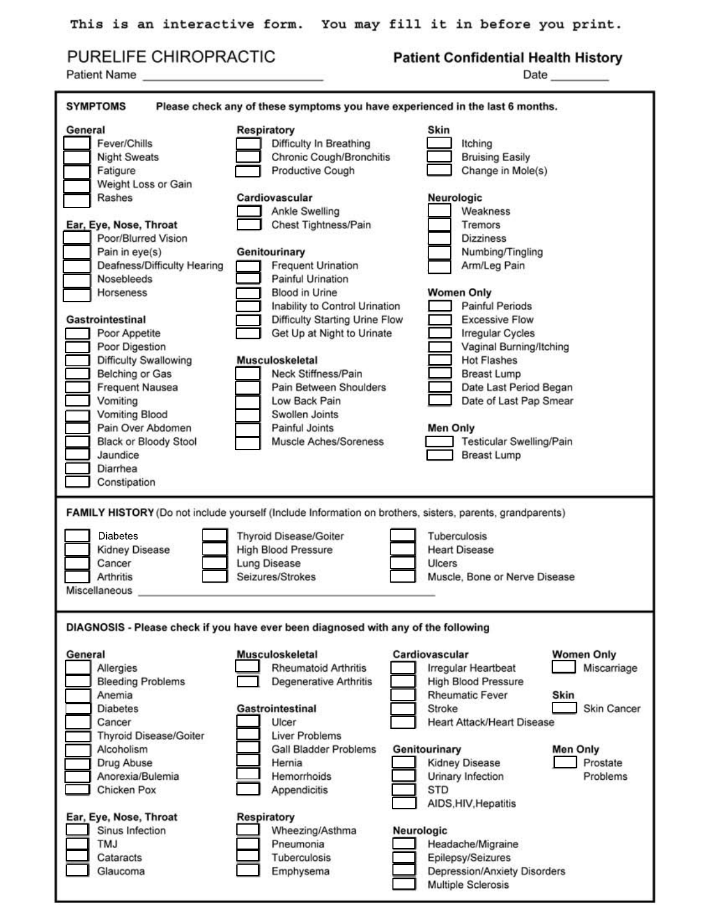|  | PURELIFE CHIROPRACTIC |  |  |  |  |  |
|--|-----------------------|--|--|--|--|--|
|--|-----------------------|--|--|--|--|--|

Patient Name

### **Patient Confidential Health History**

| <b>SYMPTOMS</b><br>Please check any of these symptoms you have experienced in the last 6 months.                                                                                                                                                                                                                                                                                                                                                                                 |                                                                                                                                                                                                                                                                                                                                                                                                                                                                                                           |                                                                                                                                                                                                                                                                                                                                                                                                                                                                |  |  |  |
|----------------------------------------------------------------------------------------------------------------------------------------------------------------------------------------------------------------------------------------------------------------------------------------------------------------------------------------------------------------------------------------------------------------------------------------------------------------------------------|-----------------------------------------------------------------------------------------------------------------------------------------------------------------------------------------------------------------------------------------------------------------------------------------------------------------------------------------------------------------------------------------------------------------------------------------------------------------------------------------------------------|----------------------------------------------------------------------------------------------------------------------------------------------------------------------------------------------------------------------------------------------------------------------------------------------------------------------------------------------------------------------------------------------------------------------------------------------------------------|--|--|--|
| General<br>Fever/Chills<br><b>Night Sweats</b><br>Fatigure<br>Weight Loss or Gain<br>Rashes<br>Ear, Eye, Nose, Throat<br>Poor/Blurred Vision<br>Pain in eye(s)<br>Deafness/Difficulty Hearing<br>Nosebleeds<br>Horseness<br>Gastrointestinal<br>Poor Appetite<br>Poor Digestion<br>Difficulty Swallowing<br>Belching or Gas<br><b>Frequent Nausea</b><br>Vomiting<br><b>Vomiting Blood</b><br>Pain Over Abdomen<br>Black or Bloody Stool<br>Jaundice<br>Diarrhea<br>Constipation | Respiratory<br>Difficulty In Breathing<br>Chronic Cough/Bronchitis<br>Productive Cough<br>Cardiovascular<br>Ankle Swelling<br>Chest Tightness/Pain<br>Genitourinary<br><b>Frequent Urination</b><br>Painful Urination<br><b>Blood in Urine</b><br>Inability to Control Urination<br>Difficulty Starting Urine Flow<br>Get Up at Night to Urinate<br><b>Musculoskeletal</b><br>Neck Stiffness/Pain<br>Pain Between Shoulders<br>Low Back Pain<br>Swollen Joints<br>Painful Joints<br>Muscle Aches/Soreness | Skin<br>Itching<br><b>Bruising Easily</b><br>Change in Mole(s)<br>Neurologic<br>Weakness<br>Tremors<br><b>Dizziness</b><br>Numbing/Tingling<br>Arm/Leg Pain<br><b>Women Only</b><br><b>Painful Periods</b><br><b>Excessive Flow</b><br><b>Irregular Cycles</b><br>Vaginal Burning/Itching<br><b>Hot Flashes</b><br><b>Breast Lump</b><br>Date Last Period Began<br>Date of Last Pap Smear<br><b>Men Only</b><br>Testicular Swelling/Pain<br><b>Breast Lump</b> |  |  |  |
| <b>Diabetes</b><br>Kidney Disease<br>Cancer<br>Arthritis<br>Miscellaneous                                                                                                                                                                                                                                                                                                                                                                                                        | <b>Thyroid Disease/Goiter</b><br><b>High Blood Pressure</b><br>Lung Disease<br>Seizures/Strokes                                                                                                                                                                                                                                                                                                                                                                                                           | FAMILY HISTORY (Do not include yourself (Include Information on brothers, sisters, parents, grandparents)<br>Tuberculosis<br><b>Heart Disease</b><br>Ulcers<br>Muscle, Bone or Nerve Disease                                                                                                                                                                                                                                                                   |  |  |  |
|                                                                                                                                                                                                                                                                                                                                                                                                                                                                                  | DIAGNOSIS - Please check if you have ever been diagnosed with any of the following                                                                                                                                                                                                                                                                                                                                                                                                                        |                                                                                                                                                                                                                                                                                                                                                                                                                                                                |  |  |  |
| General<br>Allergies<br><b>Bleeding Problems</b><br>Anemia<br><b>Diabetes</b><br>Cancer<br><b>Thyroid Disease/Goiter</b><br>Alcoholism<br>Drug Abuse<br>Anorexia/Bulemia<br>Chicken Pox<br>Ear, Eye, Nose, Throat<br>Sinus Infection<br><b>TMJ</b>                                                                                                                                                                                                                               | Musculoskeletal<br><b>Rheumatoid Arthritis</b><br><b>Degenerative Arthritis</b><br><b>Gastrointestinal</b><br>Ulcer<br><b>Liver Problems</b><br><b>Gall Bladder Problems</b><br>Hernia<br>Hemorrhoids<br>Appendicitis<br><b>Respiratory</b><br>Wheezing/Asthma<br>Pneumonia                                                                                                                                                                                                                               | <b>Women Only</b><br>Cardiovascular<br>Miscarriage<br>Irregular Heartbeat<br><b>High Blood Pressure</b><br><b>Rheumatic Fever</b><br>Skin<br>Stroke<br><b>Skin Cancer</b><br><b>Heart Attack/Heart Disease</b><br>Genitourinary<br><b>Men Only</b><br>Kidney Disease<br>Prostate<br>Urinary Infection<br>Problems<br><b>STD</b><br>AIDS, HIV, Hepatitis<br>Neurologic<br>Headache/Migraine                                                                     |  |  |  |
| Cataracts<br>Glaucoma                                                                                                                                                                                                                                                                                                                                                                                                                                                            | Tuberculosis<br>Emphysema                                                                                                                                                                                                                                                                                                                                                                                                                                                                                 | Epilepsy/Seizures<br>Depression/Anxiety Disorders<br>Multiple Sclerosis                                                                                                                                                                                                                                                                                                                                                                                        |  |  |  |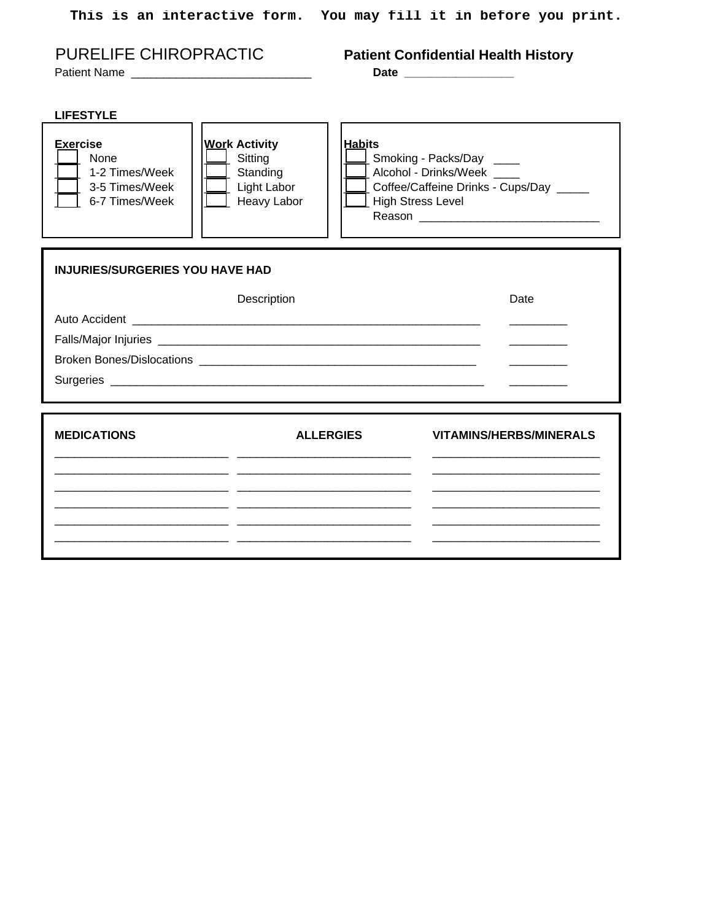|                                                                               |                                                                                   |                                            | This is an interactive form. You may fill it in before you print.                       |
|-------------------------------------------------------------------------------|-----------------------------------------------------------------------------------|--------------------------------------------|-----------------------------------------------------------------------------------------|
| PURELIFE CHIROPRACTIC                                                         |                                                                                   |                                            | <b>Patient Confidential Health History</b><br>Date ____________________                 |
| <b>LIFESTYLE</b>                                                              |                                                                                   |                                            |                                                                                         |
| <b>Exercise</b><br>None<br>1-2 Times/Week<br>3-5 Times/Week<br>6-7 Times/Week | <b>Work Activity</b><br>Sitting<br>Standing<br>Light Labor<br>$\perp$ Heavy Labor | <b>Habits</b><br>$\perp$ High Stress Level | Smoking - Packs/Day<br>Alcohol - Drinks/Week<br>Coffee/Caffeine Drinks - Cups/Day _____ |
| <b>INJURIES/SURGERIES YOU HAVE HAD</b>                                        |                                                                                   |                                            |                                                                                         |
|                                                                               | Description                                                                       |                                            | Date                                                                                    |
|                                                                               |                                                                                   |                                            |                                                                                         |
|                                                                               |                                                                                   |                                            |                                                                                         |
|                                                                               |                                                                                   |                                            |                                                                                         |
|                                                                               |                                                                                   |                                            |                                                                                         |
| <b>MEDICATIONS</b>                                                            |                                                                                   | <b>ALLERGIES</b>                           | <b>VITAMINS/HERBS/MINERALS</b>                                                          |
|                                                                               |                                                                                   |                                            |                                                                                         |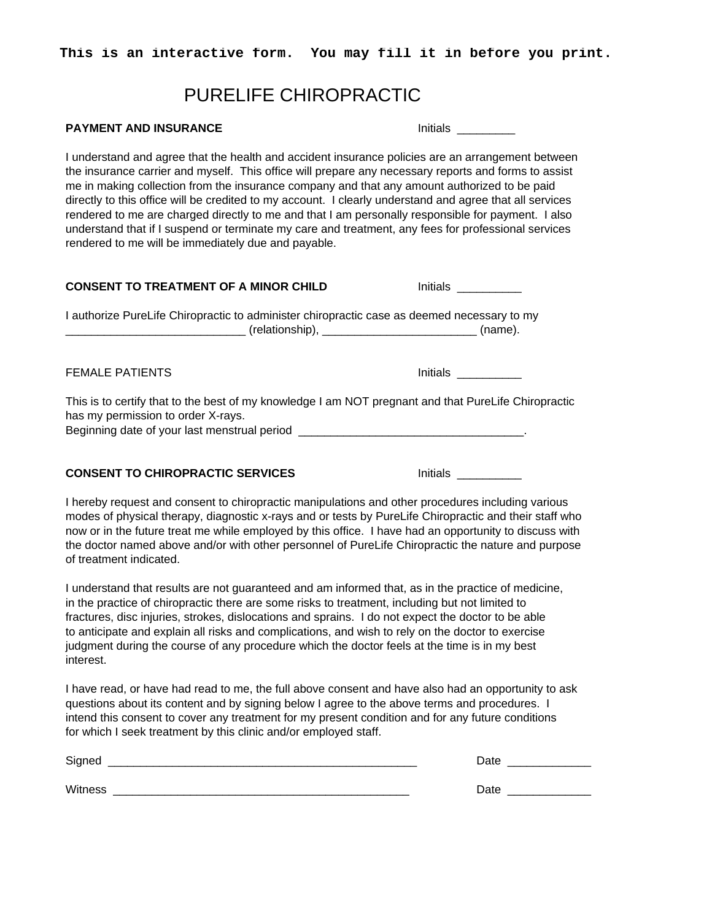### PURELIFE CHIROPRACTIC

#### **PAYMENT AND INSURANCE Initials** and **Initials** and **Initials** and **Initials** and **Initials**

I understand and agree that the health and accident insurance policies are an arrangement between the insurance carrier and myself. This office will prepare any necessary reports and forms to assist me in making collection from the insurance company and that any amount authorized to be paid directly to this office will be credited to my account. I clearly understand and agree that all services rendered to me are charged directly to me and that I am personally responsible for payment. I also understand that if I suspend or terminate my care and treatment, any fees for professional services rendered to me will be immediately due and payable.

| <b>CONSENT TO TREATMENT OF A MINOR CHILD</b>                                                                                                                                                                                   | Initials        |
|--------------------------------------------------------------------------------------------------------------------------------------------------------------------------------------------------------------------------------|-----------------|
| I authorize PureLife Chiropractic to administer chiropractic case as deemed necessary to my                                                                                                                                    |                 |
| <b>FEMALE PATIENTS</b>                                                                                                                                                                                                         |                 |
| This is to certify that to the best of my knowledge I am NOT pregnant and that PureLife Chiropractic<br>has my permission to order X-rays.<br>Beginning date of your last menstrual period ___________________________________ |                 |
| <b>CONSENT TO CHIROPRACTIC SERVICES</b>                                                                                                                                                                                        | <b>Initials</b> |
| I hereby request and consent to chiropractic manipulations and other procedures including various<br>그 사람들은 그 사람들은 그 사람들을 지금 모르는 것이 없다. 그 사람들은 그 사람들은 그 사람들은 그 사람들을 지금 모르는 것이다.                                                |                 |

modes of physical therapy, diagnostic x-rays and or tests by PureLife Chiropractic and their staff who now or in the future treat me while employed by this office. I have had an opportunity to discuss with the doctor named above and/or with other personnel of PureLife Chiropractic the nature and purpose of treatment indicated.

I understand that results are not guaranteed and am informed that, as in the practice of medicine, in the practice of chiropractic there are some risks to treatment, including but not limited to fractures, disc injuries, strokes, dislocations and sprains. I do not expect the doctor to be able to anticipate and explain all risks and complications, and wish to rely on the doctor to exercise judgment during the course of any procedure which the doctor feels at the time is in my best interest.

I have read, or have had read to me, the full above consent and have also had an opportunity to ask questions about its content and by signing below I agree to the above terms and procedures. I intend this consent to cover any treatment for my present condition and for any future conditions for which I seek treatment by this clinic and/or employed staff.

| Signed  | Date |  |
|---------|------|--|
|         |      |  |
| Witness | Date |  |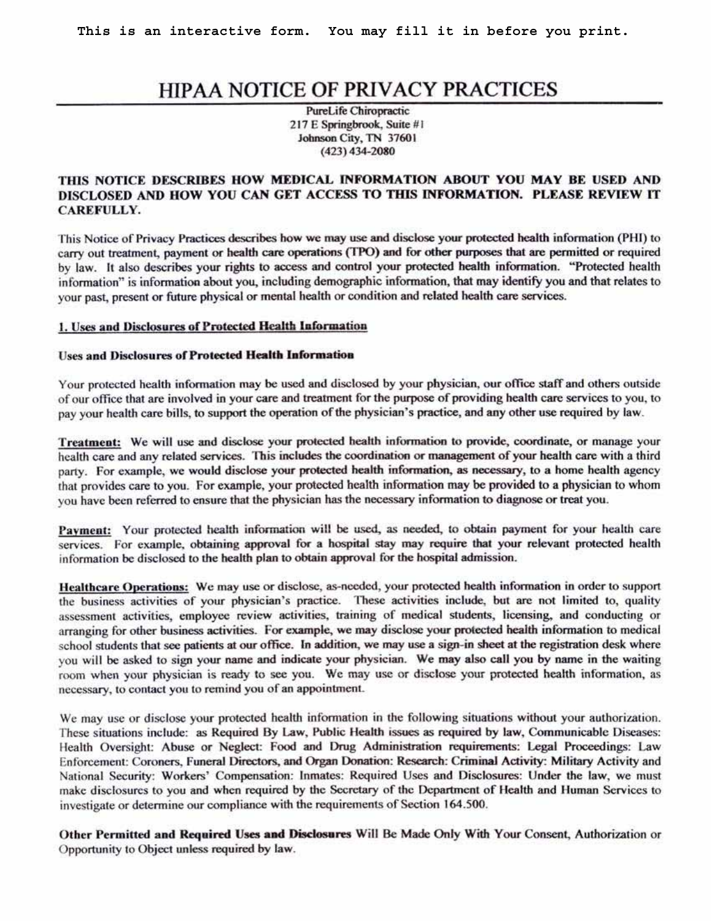# HIPAA NOTICE OF PRIVACY PRACTICES

PureLife Chiropractic 217 E Springbrook, Suite #1 Johnson City, TN 37601  $(423)$  434-2080

#### THIS NOTICE DESCRIBES HOW MEDICAL INFORMATION ABOUT YOU MAY BE USED AND DISCLOSED AND HOW YOU CAN GET ACCESS TO THIS INFORMATION. PLEASE REVIEW IT **CAREFULLY.**

This Notice of Privacy Practices describes how we may use and disclose your protected health information (PHI) to carry out treatment, payment or health care operations (TPO) and for other purposes that are permitted or required by law. It also describes your rights to access and control your protected health information. "Protected health information" is information about you, including demographic information, that may identify you and that relates to your past, present or future physical or mental health or condition and related health care services.

#### 1. Uses and Disclosures of Protected Health Information

#### **Uses and Disclosures of Protected Health Information**

Your protected health information may be used and disclosed by your physician, our office staff and others outside of our office that are involved in your care and treatment for the purpose of providing health care services to you, to pay your health care bills, to support the operation of the physician's practice, and any other use required by law.

Treatment: We will use and disclose your protected health information to provide, coordinate, or manage your health care and any related services. This includes the coordination or management of your health care with a third party. For example, we would disclose your protected health information, as necessary, to a home health agency that provides care to you. For example, your protected health information may be provided to a physician to whom you have been referred to ensure that the physician has the necessary information to diagnose or treat you.

Payment: Your protected health information will be used, as needed, to obtain payment for your health care services. For example, obtaining approval for a hospital stay may require that your relevant protected health information be disclosed to the health plan to obtain approval for the hospital admission.

Healthcare Operations: We may use or disclose, as-needed, your protected health information in order to support the business activities of your physician's practice. These activities include, but are not limited to, quality assessment activities, employee review activities, training of medical students, licensing, and conducting or arranging for other business activities. For example, we may disclose your protected health information to medical school students that see patients at our office. In addition, we may use a sign-in sheet at the registration desk where you will be asked to sign your name and indicate your physician. We may also call you by name in the waiting room when your physician is ready to see you. We may use or disclose your protected health information, as necessary, to contact you to remind you of an appointment.

We may use or disclose your protected health information in the following situations without your authorization. These situations include: as Required By Law, Public Health issues as required by law, Communicable Diseases: Health Oversight: Abuse or Neglect: Food and Drug Administration requirements: Legal Proceedings: Law Enforcement: Coroners, Funeral Directors, and Organ Donation: Research: Criminal Activity: Military Activity and National Security: Workers' Compensation: Inmates: Required Uses and Disclosures: Under the law, we must make disclosures to you and when required by the Secretary of the Department of Health and Human Services to investigate or determine our compliance with the requirements of Section 164.500.

Other Permitted and Required Uses and Disclosures Will Be Made Only With Your Consent, Authorization or Opportunity to Object unless required by law.